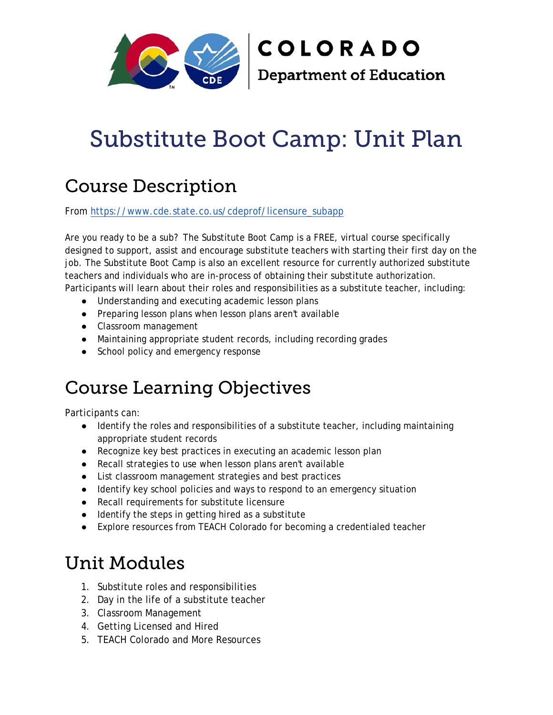

# Substitute Boot Camp: Unit Plan

# Course Description

From [https://www.cde.state.co.us/cdeprof/licensure\\_subapp](https://www.cde.state.co.us/cdeprof/licensure_subapp)

Are you ready to be a sub? The Substitute Boot Camp is a FREE, virtual course specifically designed to support, assist and encourage substitute teachers with starting their first day on the job. The Substitute Boot Camp is also an excellent resource for currently authorized substitute teachers and individuals who are in-process of obtaining their substitute authorization. Participants will learn about their roles and responsibilities as a substitute teacher, including:

- Understanding and executing academic lesson plans
- Preparing lesson plans when lesson plans aren't available
- Classroom management
- Maintaining appropriate student records, including recording grades
- School policy and emergency response

# Course Learning Objectives

Participants can:

- Identify the roles and responsibilities of a substitute teacher, including maintaining appropriate student records
- Recognize key best practices in executing an academic lesson plan
- Recall strategies to use when lesson plans aren't available
- List classroom management strategies and best practices
- Identify key school policies and ways to respond to an emergency situation
- Recall requirements for substitute licensure
- Identify the steps in getting hired as a substitute
- Explore resources from TEACH Colorado for becoming a credentialed teacher

## Unit Modules

- 1. Substitute roles and responsibilities
- 2. Day in the life of a substitute teacher
- 3. Classroom Management
- 4. Getting Licensed and Hired
- 5. TEACH Colorado and More Resources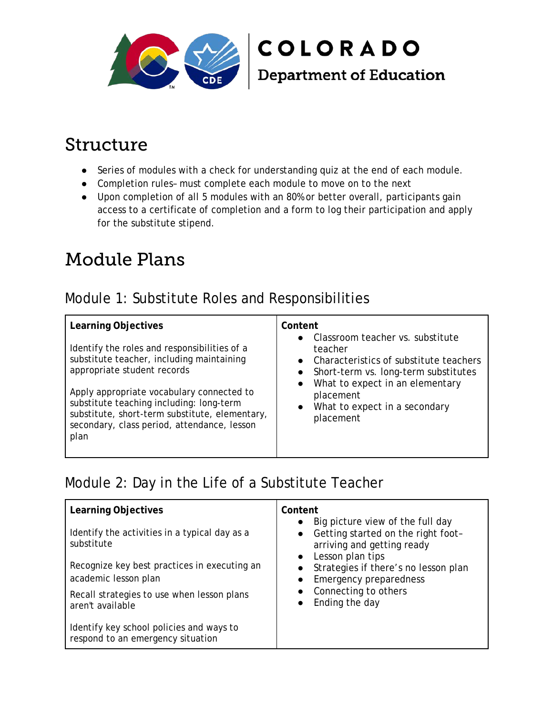

# **COLORADO Department of Education**

## Structure

- Series of modules with a check for understanding quiz at the end of each module.
- Completion rules– must complete each module to move on to the next
- Upon completion of all 5 modules with an 80% or better overall, participants gain access to a certificate of completion and a form to log their participation and apply for the substitute stipend.

## Module Plans

#### Module 1: Substitute Roles and Responsibilities

| Learning Objectives<br>Identify the roles and responsibilities of a<br>substitute teacher, including maintaining<br>appropriate student records<br>Apply appropriate vocabulary connected to<br>substitute teaching including: long-term<br>substitute, short-term substitute, elementary,<br>secondary, class period, attendance, lesson<br>plan | Content<br>• Classroom teacher vs. substitute<br>teacher<br>• Characteristics of substitute teachers<br>• Short-term vs. long-term substitutes<br>What to expect in an elementary<br>$\bullet$<br>placement<br>What to expect in a secondary<br>$\bullet$<br>placement |
|---------------------------------------------------------------------------------------------------------------------------------------------------------------------------------------------------------------------------------------------------------------------------------------------------------------------------------------------------|------------------------------------------------------------------------------------------------------------------------------------------------------------------------------------------------------------------------------------------------------------------------|
|---------------------------------------------------------------------------------------------------------------------------------------------------------------------------------------------------------------------------------------------------------------------------------------------------------------------------------------------------|------------------------------------------------------------------------------------------------------------------------------------------------------------------------------------------------------------------------------------------------------------------------|

#### Module 2: Day in the Life of a Substitute Teacher

| Learning Objectives                                                           | Content<br>Big picture view of the full day<br>$\bullet$                                                                                                                                                                                                      |
|-------------------------------------------------------------------------------|---------------------------------------------------------------------------------------------------------------------------------------------------------------------------------------------------------------------------------------------------------------|
| Identify the activities in a typical day as a<br>substitute                   | • Getting started on the right foot-<br>arriving and getting ready<br>Lesson plan tips<br>$\bullet$<br>Strategies if there's no lesson plan<br>$\bullet$<br><b>Emergency preparedness</b><br>$\bullet$<br>Connecting to others<br>Ending the day<br>$\bullet$ |
| Recognize key best practices in executing an<br>academic lesson plan          |                                                                                                                                                                                                                                                               |
| Recall strategies to use when lesson plans<br>aren't available                |                                                                                                                                                                                                                                                               |
| Identify key school policies and ways to<br>respond to an emergency situation |                                                                                                                                                                                                                                                               |